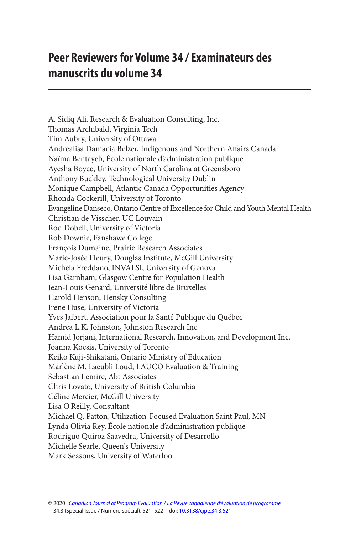## **Peer Reviewers for Volume 34 / Examinateurs des manuscrits du volume 34**

A. Sidiq Ali, Research & Evaluation Consulting, Inc. Thomas Archibald, Virginia Tech Tim Aubry, University of Ottawa Andrealisa Damacia Belzer, Indigenous and Northern Affairs Canada Naïma Bentayeb, École nationale d'administration publique Ayesha Boyce, University of North Carolina at Greensboro Anthony Buckley, Technological University Dublin Monique Campbell, Atlantic Canada Opportunities Agency Rhonda Cockerill, University of Toronto Evangeline Danseco, Ontario Centre of Excellence for Child and Youth Mental Health Christian de Visscher, UC Louvain Rod Dobell, University of Victoria Rob Downie, Fanshawe College François Dumaine, Prairie Research Associates Marie-Josée Fleury, Douglas Institute, McGill University Michela Freddano, INVALSI, University of Genova Lisa Garnham, Glasgow Centre for Population Health Jean-Louis Genard, Université libre de Bruxelles Harold Henson, Hensky Consulting Irene Huse, University of Victoria Yves Jalbert, Association pour la Santé Publique du Québec Andrea L.K. Johnston, Johnston Research Inc Hamid Jorjani, International Research, Innovation, and Development Inc. Joanna Kocsis, University of Toronto Keiko Kuji-Shikatani, Ontario Ministry of Education Marlène M. Laeubli Loud, LAUCO Evaluation & Training Sebastian Lemire, Abt Associates Chris Lovato, University of British Columbia Céline Mercier, McGill University Lisa O'Reilly, Consultant Michael Q. Patton, Utilization-Focused Evaluation Saint Paul, MN Lynda Olivia Rey, École nationale d'administration publique Rodriguo Quiroz Saavedra, University of Desarrollo Michelle Searle, Queen's University Mark Seasons, University of Waterloo